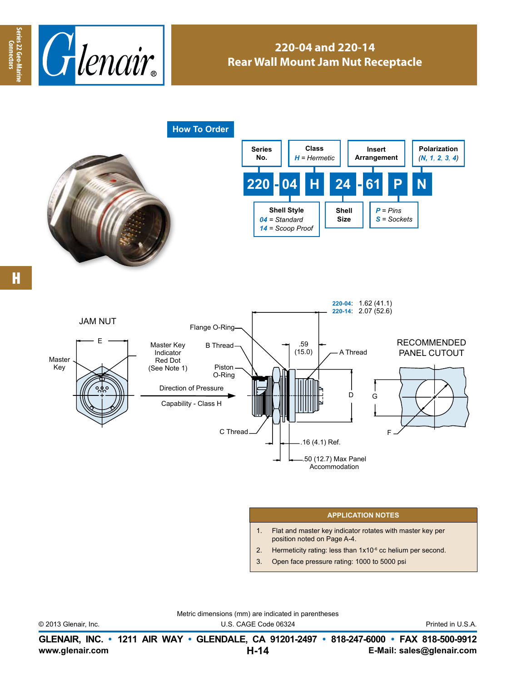

## **220-04 and 220-14 Rear Wall Mount Jam Nut Receptacle**

**How To Order**





H



## **APPLICATION NOTES**

- 1. Flat and master key indicator rotates with master key per position noted on Page A-4.
- 2. Hermeticity rating: less than  $1x10^{-6}$  cc helium per second.
- 3. Open face pressure rating: 1000 to 5000 psi

© 2013 Glenair, Inc. U.S. CAGE Code 06324 Printed in U.S.A.

Metric dimensions (mm) are indicated in parentheses

**www.glenair.com E-Mail: sales@glenair.com GLENAIR, INC. • 1211 AIR WAY • GLENDALE, CA 91201-2497 • 818-247-6000 • FAX 818-500-9912 H-14**